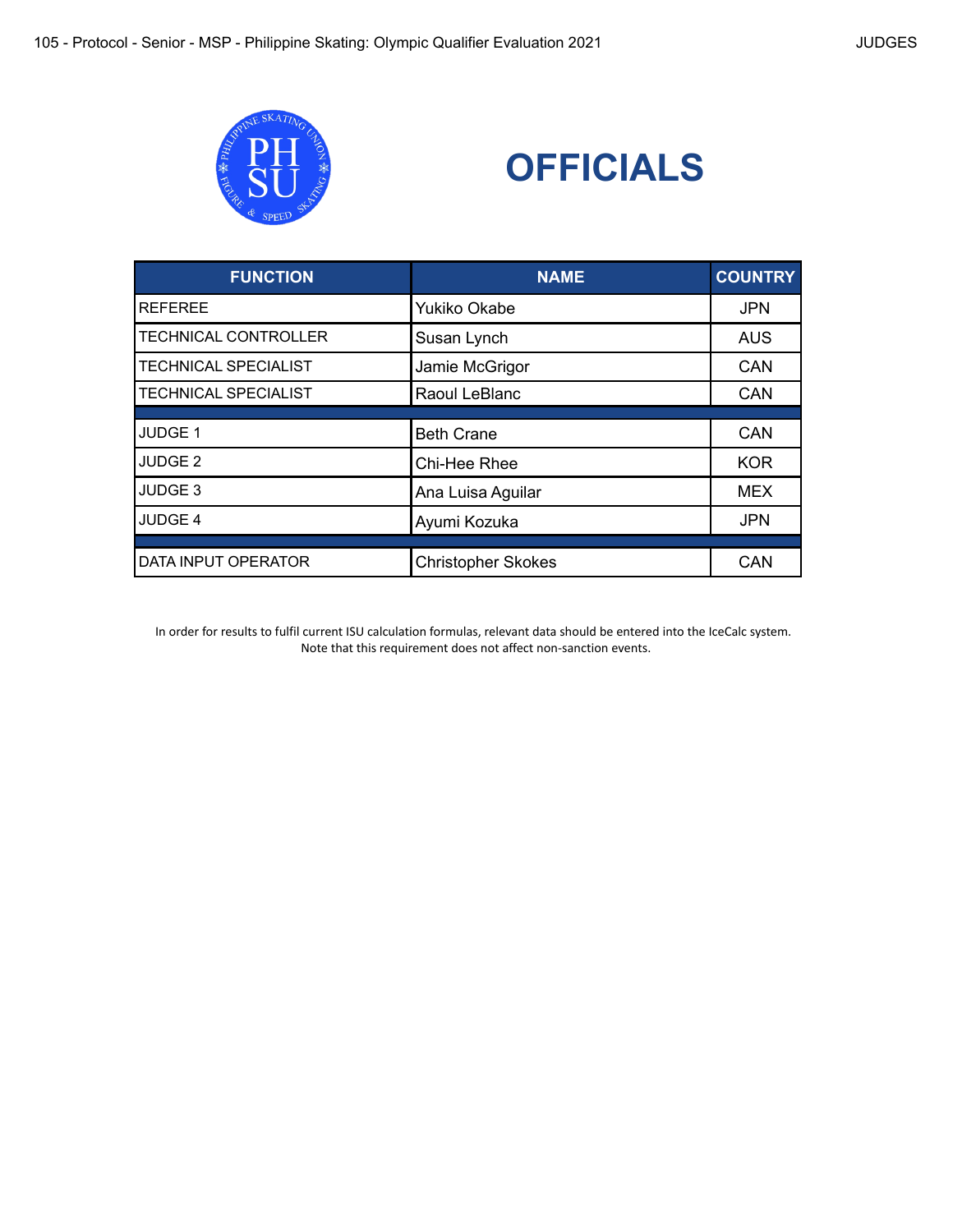



| <b>FUNCTION</b>             | <b>NAME</b>               | <b>COUNTRY</b> |
|-----------------------------|---------------------------|----------------|
| <b>REFEREE</b>              | Yukiko Okabe              | <b>JPN</b>     |
| <b>TECHNICAL CONTROLLER</b> | Susan Lynch               | <b>AUS</b>     |
| <b>TECHNICAL SPECIALIST</b> | Jamie McGrigor            | <b>CAN</b>     |
| <b>TECHNICAL SPECIALIST</b> | Raoul LeBlanc             | CAN            |
| JUDGE 1                     | <b>Beth Crane</b>         | <b>CAN</b>     |
| JUDGE <sub>2</sub>          | Chi-Hee Rhee              | <b>KOR</b>     |
| JUDGE <sub>3</sub>          | Ana Luisa Aguilar         | <b>MEX</b>     |
| JUDGE 4                     | Ayumi Kozuka              | <b>JPN</b>     |
|                             |                           |                |
| DATA INPUT OPERATOR         | <b>Christopher Skokes</b> | CAN            |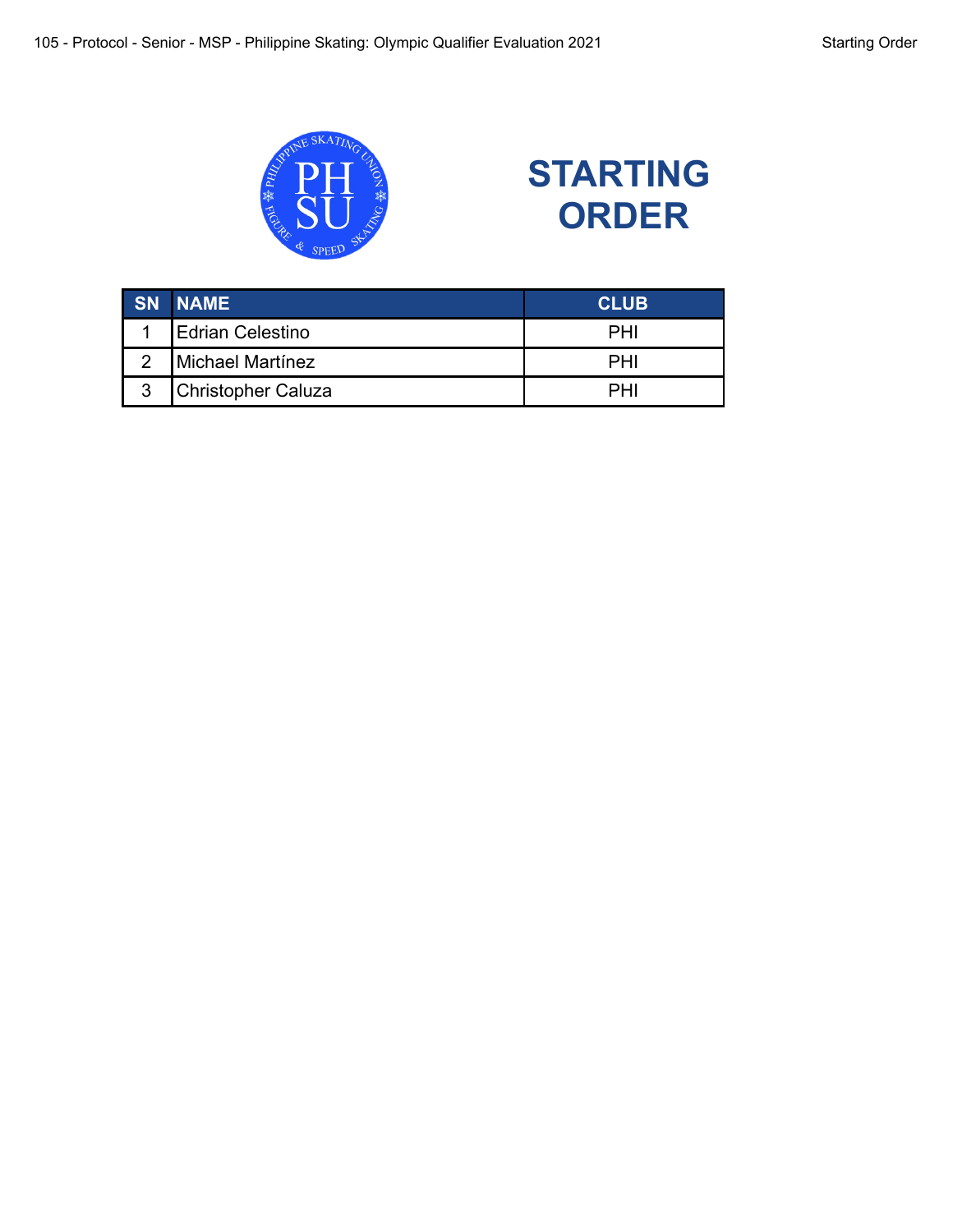

# **STARTING ORDER**

|   | <b>SN NAME</b>     | <b>CLUB</b> |
|---|--------------------|-------------|
|   | Edrian Celestino   | <b>PHI</b>  |
|   | Michael Martínez   | <b>PHI</b>  |
| 3 | Christopher Caluza | PHI         |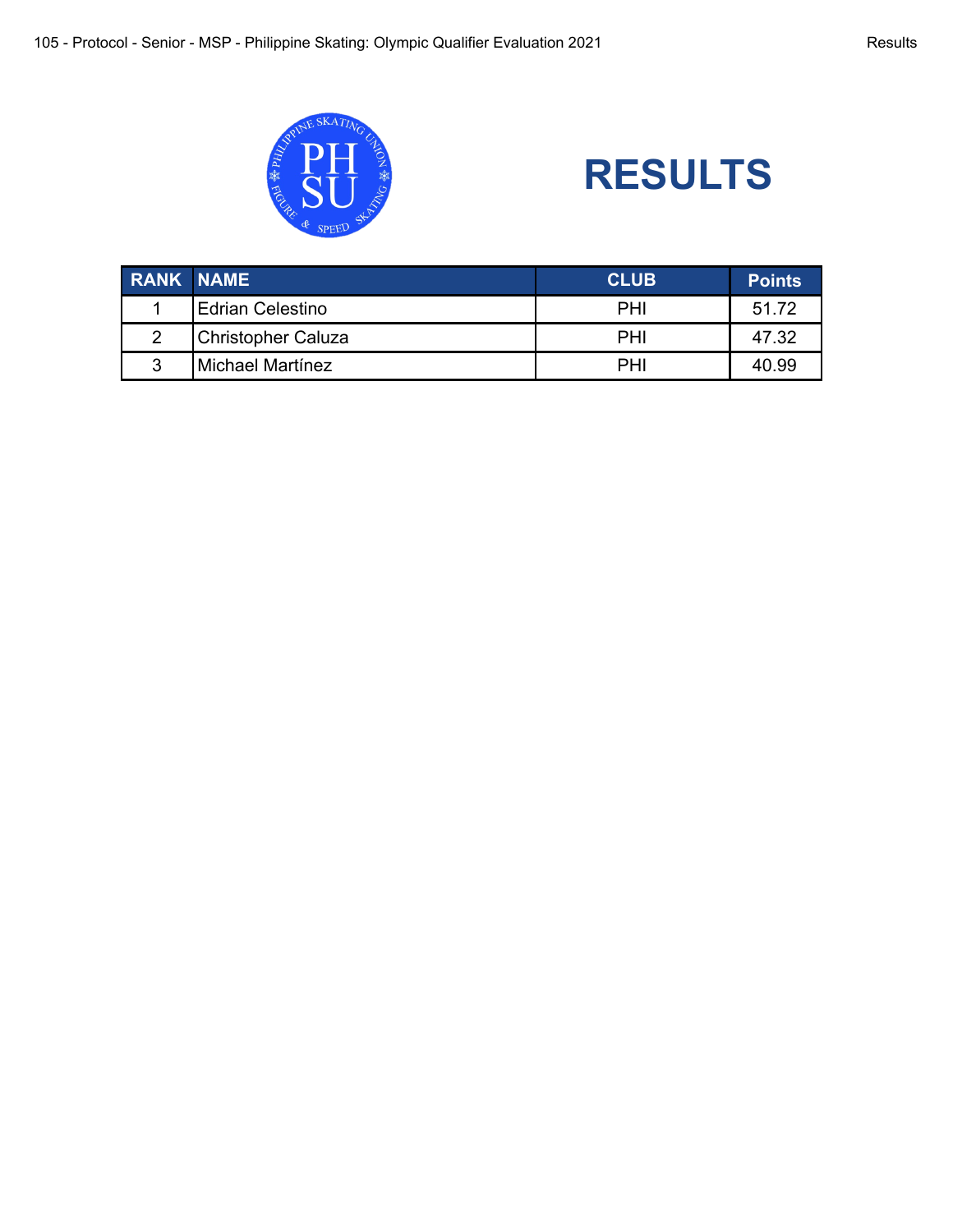

# **RESULTS**

| <b>RANK NAME</b> |                           | <b>CLUB</b> | <b>Points</b> |
|------------------|---------------------------|-------------|---------------|
|                  | <b>Edrian Celestino</b>   | PHI         | 51.72         |
|                  | <b>Christopher Caluza</b> | PHI         | 47.32         |
| ົ                | Michael Martínez          | PHI         | 40.99         |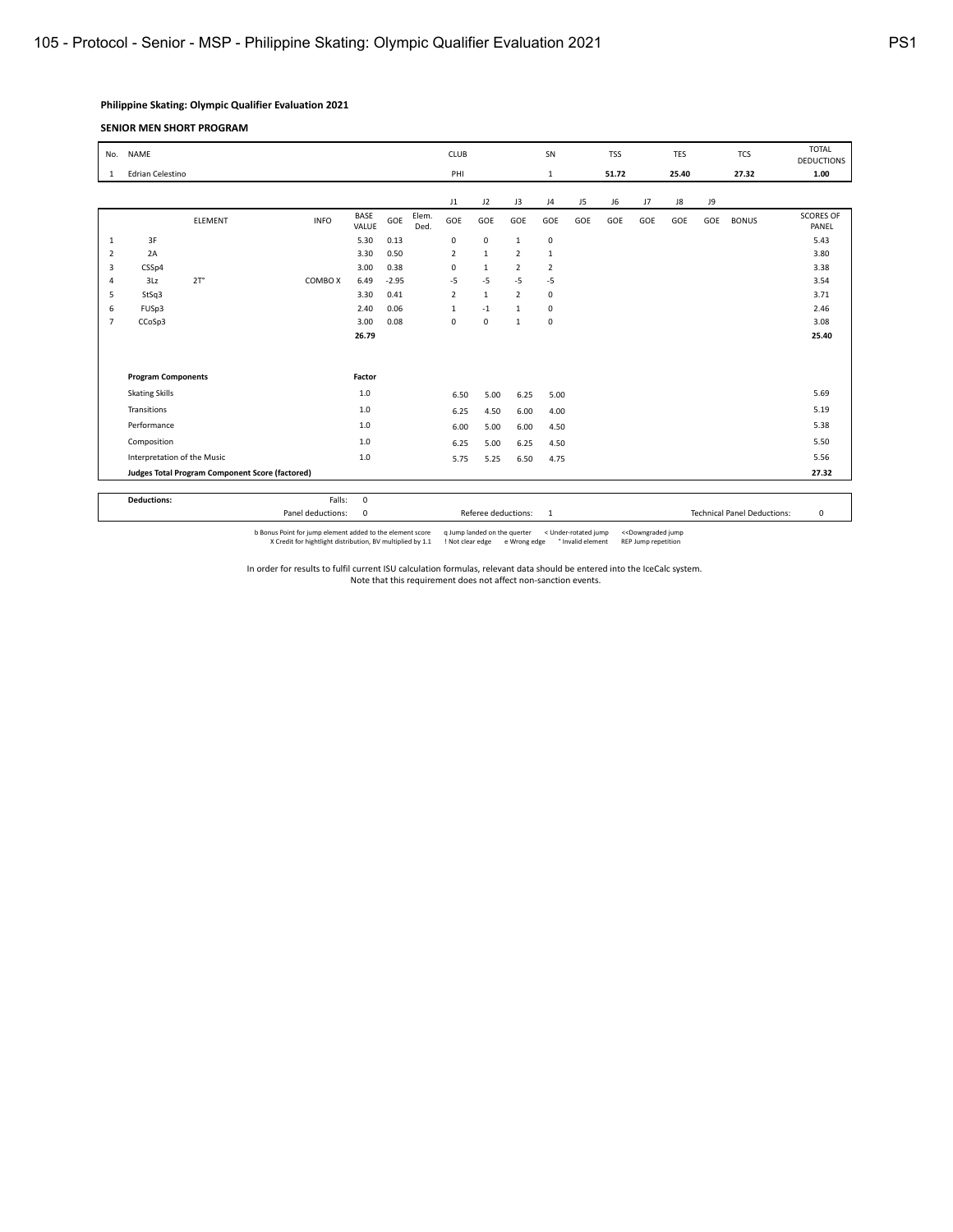# **Philippine Skating: Olympic Qualifier Evaluation 2021**

#### **SENIOR MEN SHORT PROGRAM**

| No.                                             | <b>NAME</b>                 |                |                   |                      |         |               | CLUB           |                     |                | SN             |     | <b>TSS</b> |     | <b>TES</b> |     | <b>TCS</b>                         | <b>TOTAL</b><br><b>DEDUCTIONS</b> |
|-------------------------------------------------|-----------------------------|----------------|-------------------|----------------------|---------|---------------|----------------|---------------------|----------------|----------------|-----|------------|-----|------------|-----|------------------------------------|-----------------------------------|
| 1                                               | Edrian Celestino            |                |                   |                      |         |               | PHI            |                     |                | $\mathbf{1}$   |     | 51.72      |     | 25.40      |     | 27.32                              | 1.00                              |
|                                                 |                             |                |                   |                      |         |               |                |                     |                |                |     |            |     |            |     |                                    |                                   |
|                                                 |                             |                |                   |                      |         |               | J1             | J2                  | J3             | J <sub>4</sub> | J5  | J6         | J7  | J8         | J9  |                                    |                                   |
|                                                 |                             | <b>ELEMENT</b> | <b>INFO</b>       | <b>BASE</b><br>VALUE | GOE     | Elem.<br>Ded. | GOE            | GOE                 | GOE            | GOE            | GOE | GOE        | GOE | GOE        | GOE | <b>BONUS</b>                       | <b>SCORES OF</b><br>PANEL         |
| 1                                               | 3F                          |                |                   | 5.30                 | 0.13    |               | $\pmb{0}$      | $\mathsf 0$         | $\mathbf{1}$   | $\pmb{0}$      |     |            |     |            |     |                                    | 5.43                              |
| $\overline{2}$                                  | 2A                          |                |                   | 3.30                 | 0.50    |               | $\overline{2}$ | $\mathbf 1$         | $\overline{2}$ | $\mathbf{1}$   |     |            |     |            |     |                                    | 3.80                              |
| 3                                               | CSSp4                       |                |                   | 3.00                 | 0.38    |               | $\mathbf 0$    | $\mathbf{1}$        | $\overline{2}$ | $\overline{2}$ |     |            |     |            |     |                                    | 3.38                              |
| $\overline{4}$                                  | 3Lz                         | $2T^{\circ}$   | COMBO X           | 6.49                 | $-2.95$ |               | $-5$           | $-5$                | $-5$           | $-5$           |     |            |     |            |     |                                    | 3.54                              |
| 5                                               | StSq3                       |                |                   | 3.30                 | 0.41    |               | $\overline{2}$ | $\mathbf{1}$        | $\overline{2}$ | 0              |     |            |     |            |     |                                    | 3.71                              |
| 6                                               | FUSp3                       |                |                   | 2.40                 | 0.06    |               | $\mathbf{1}$   | $-1$                | $\mathbf{1}$   | 0              |     |            |     |            |     |                                    | 2.46                              |
| $\overline{7}$                                  | CCoSp3                      |                |                   | 3.00                 | 0.08    |               | 0              | 0                   | $\mathbf{1}$   | 0              |     |            |     |            |     |                                    | 3.08                              |
|                                                 |                             |                |                   | 26.79                |         |               |                |                     |                |                |     |            |     |            |     |                                    | 25.40                             |
|                                                 |                             |                |                   |                      |         |               |                |                     |                |                |     |            |     |            |     |                                    |                                   |
|                                                 |                             |                |                   |                      |         |               |                |                     |                |                |     |            |     |            |     |                                    |                                   |
|                                                 | <b>Program Components</b>   |                |                   | Factor               |         |               |                |                     |                |                |     |            |     |            |     |                                    |                                   |
|                                                 | <b>Skating Skills</b>       |                |                   | 1.0                  |         |               | 6.50           | 5.00                | 6.25           | 5.00           |     |            |     |            |     |                                    | 5.69                              |
|                                                 | Transitions                 |                |                   | 1.0                  |         |               | 6.25           | 4.50                | 6.00           | 4.00           |     |            |     |            |     |                                    | 5.19                              |
|                                                 | Performance                 |                |                   | 1.0                  |         |               | 6.00           | 5.00                | 6.00           | 4.50           |     |            |     |            |     |                                    | 5.38                              |
|                                                 | Composition                 |                |                   | 1.0                  |         |               | 6.25           | 5.00                | 6.25           | 4.50           |     |            |     |            |     |                                    | 5.50                              |
|                                                 | Interpretation of the Music |                |                   | 1.0                  |         |               | 5.75           | 5.25                | 6.50           | 4.75           |     |            |     |            |     |                                    | 5.56                              |
| Judges Total Program Component Score (factored) |                             |                |                   |                      |         |               |                |                     |                |                |     |            |     |            |     |                                    | 27.32                             |
|                                                 |                             |                |                   |                      |         |               |                |                     |                |                |     |            |     |            |     |                                    |                                   |
|                                                 | <b>Deductions:</b>          |                | Falls:            | $\mathbf 0$          |         |               |                |                     |                |                |     |            |     |            |     |                                    |                                   |
|                                                 |                             |                | Panel deductions: | $\mathbf 0$          |         |               |                | Referee deductions: |                | $\overline{1}$ |     |            |     |            |     | <b>Technical Panel Deductions:</b> | $\mathbf 0$                       |

b Bonus Point for jump element added to the element score qump landed on the querter < Under-rotated jump << Downgraded jump (Scredit for hightlight distribution, BV multiplied by 1.1 ! Not clear edge eWrong edge  $^{\circ}$  In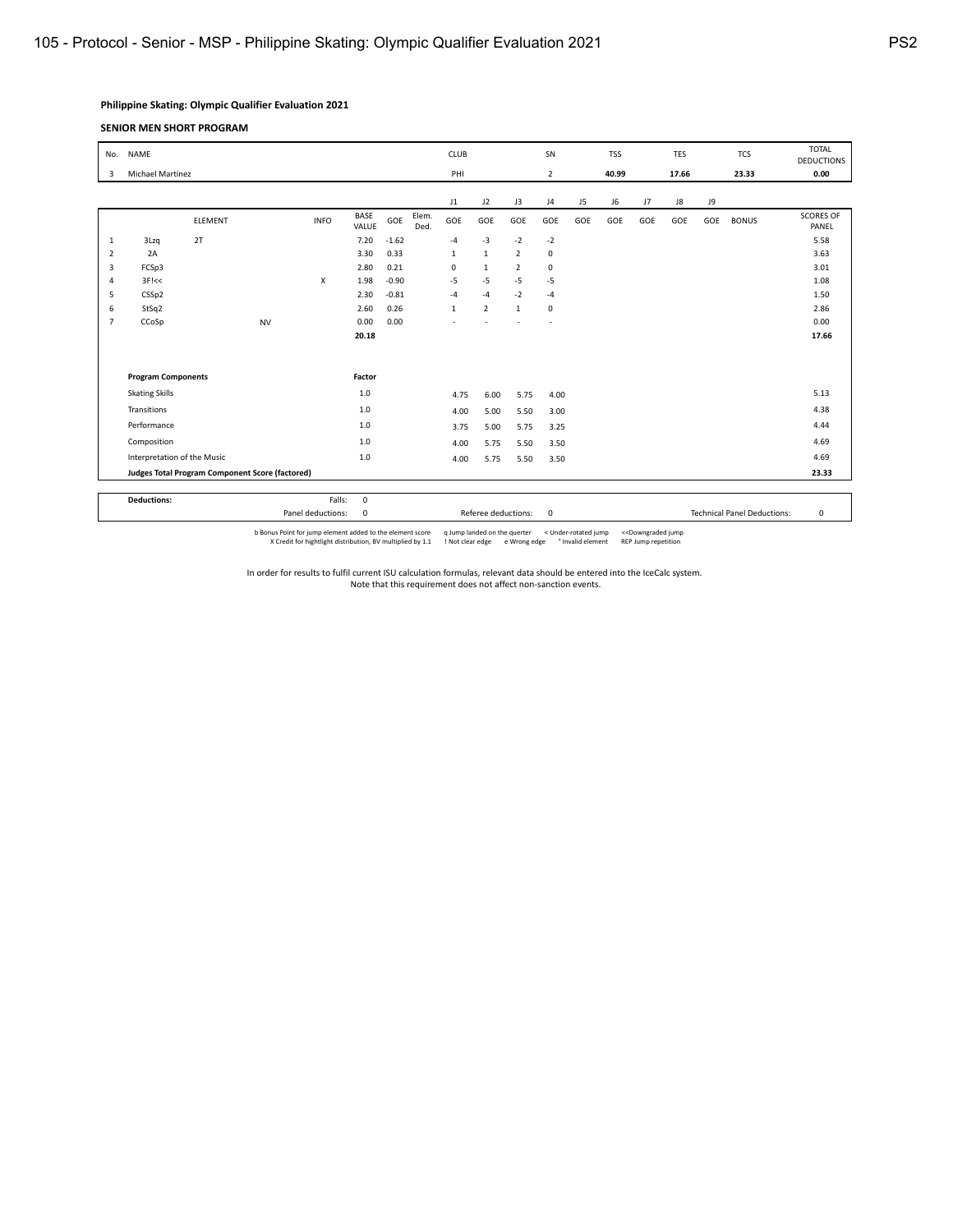# **Philippine Skating: Olympic Qualifier Evaluation 2021**

#### **SENIOR MEN SHORT PROGRAM**

| No.            | <b>NAME</b>                 |                                                 |           |             |               |                     |               | <b>CLUB</b>  |                |                | SN             |           | <b>TSS</b> |                                    | TES       |           | <b>TCS</b>   | <b>TOTAL</b><br><b>DEDUCTIONS</b> |
|----------------|-----------------------------|-------------------------------------------------|-----------|-------------|---------------|---------------------|---------------|--------------|----------------|----------------|----------------|-----------|------------|------------------------------------|-----------|-----------|--------------|-----------------------------------|
| 3              | Michael Martínez            |                                                 |           |             |               |                     |               | PHI          |                |                | $\overline{2}$ |           | 40.99      |                                    | 17.66     |           | 23.33        | 0.00                              |
|                |                             |                                                 |           |             |               |                     |               |              |                |                |                |           |            |                                    |           |           |              |                                   |
|                |                             | <b>ELEMENT</b>                                  |           | <b>INFO</b> | BASE<br>VALUE | GOE                 | Elem.<br>Ded. | J1<br>GOE    | J2<br>GOE      | J3<br>GOE      | J4<br>GOE      | J5<br>GOE | J6<br>GOE  | J7<br>GOE                          | J8<br>GOE | ور<br>GOE | <b>BONUS</b> | <b>SCORES OF</b><br>PANEL         |
| 1              | 3Lzq                        | 2T                                              |           |             | 7.20          | $-1.62$             |               | $-4$         | $-3$           | $-2$           | $-2$           |           |            |                                    |           |           |              | 5.58                              |
| $\overline{2}$ | 2A                          |                                                 |           |             | 3.30          | 0.33                |               | $\mathbf{1}$ | $\mathbf{1}$   | $\overline{2}$ | 0              |           |            |                                    |           |           |              | 3.63                              |
| 3              | FCSp3                       |                                                 |           |             | 2.80          | 0.21                |               | $\mathbf 0$  | $\mathbf{1}$   | $\overline{2}$ | 0              |           |            |                                    |           |           |              | 3.01                              |
| 4              | $3F$ $<<$                   |                                                 |           | X           | 1.98          | $-0.90$             |               | $-5$         | $-5$           | $-5$           | $-5$           |           |            |                                    |           |           |              | 1.08                              |
| 5              | CSSp2                       |                                                 |           |             | 2.30          | $-0.81$             |               | $-4$         | $-4$           | $-2$           | $-4$           |           |            |                                    |           |           |              | 1.50                              |
| 6              | StSq2                       |                                                 |           |             | 2.60          | 0.26                |               | $\mathbf{1}$ | $\overline{2}$ | $\mathbf{1}$   | $\mathbf 0$    |           |            |                                    |           |           |              | 2.86                              |
| $\overline{7}$ | CCoSp                       |                                                 | <b>NV</b> |             | 0.00          | 0.00                |               |              |                |                |                |           |            |                                    |           |           |              | 0.00                              |
|                |                             |                                                 |           |             | 20.18         |                     |               |              |                |                |                |           |            |                                    |           |           |              | 17.66                             |
|                |                             |                                                 |           |             |               |                     |               |              |                |                |                |           |            |                                    |           |           |              |                                   |
|                | <b>Program Components</b>   | Factor                                          |           |             |               |                     |               |              |                |                |                |           |            |                                    |           |           |              |                                   |
|                | <b>Skating Skills</b>       |                                                 |           |             | 1.0           |                     |               | 4.75         | 6.00           | 5.75           | 4.00           |           |            |                                    |           |           |              | 5.13                              |
|                | Transitions                 |                                                 |           |             | 1.0           |                     |               | 4.00         | 5.00           | 5.50           | 3.00           |           |            |                                    |           |           |              | 4.38                              |
|                | Performance                 |                                                 |           |             | 1.0           |                     |               | 3.75         | 5.00           | 5.75           | 3.25           |           |            |                                    |           |           |              | 4.44                              |
|                | Composition                 |                                                 |           |             | 1.0           |                     |               | 4.00         | 5.75           | 5.50           | 3.50           |           |            |                                    |           |           |              | 4.69                              |
|                | Interpretation of the Music |                                                 |           |             | 1.0           |                     |               | 4.00         | 5.75           | 5.50           | 3.50           |           |            |                                    |           |           |              | 4.69                              |
|                |                             | Judges Total Program Component Score (factored) |           |             |               |                     |               |              |                |                |                |           |            |                                    |           | 23.33     |              |                                   |
|                |                             |                                                 |           |             |               |                     |               |              |                |                |                |           |            |                                    |           |           |              |                                   |
|                | <b>Deductions:</b>          |                                                 |           | Falls:      | $\mathbf 0$   |                     |               |              |                |                |                |           |            |                                    |           |           |              |                                   |
|                |                             | Panel deductions:<br>$\mathbf 0$                |           |             |               | Referee deductions: |               | $\mathbf 0$  |                |                |                |           |            | <b>Technical Panel Deductions:</b> | 0         |           |              |                                   |

b Bonus Point for jump element added to the element score qump landed on the querter < Under-rotated jump << Downgraded jump (Scredit for hightlight distribution, BV multiplied by 1.1 ! Not clear edge eWrong edge  $^{\circ}$  In